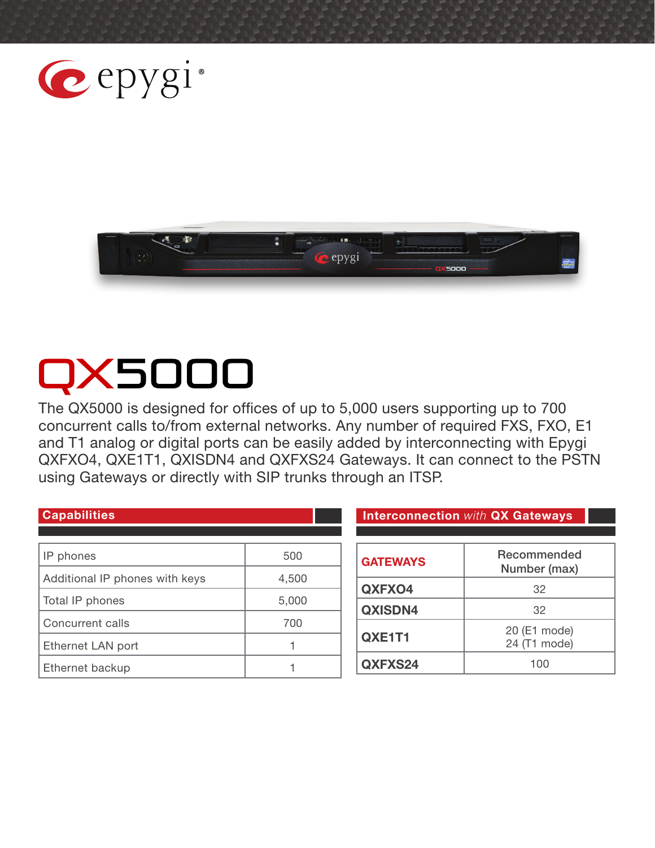



# QX5000

The QX5000 is designed for offices of up to 5,000 users supporting up to 700 concurrent calls to/from external networks. Any number of required FXS, FXO, E1 and T1 analog or digital ports can be easily added by interconnecting with Epygi QXFXO4, QXE1T1, QXISDN4 and QXFXS24 Gateways. It can connect to the PSTN using Gateways or directly with SIP trunks through an ITSP.

| <b>Capabilities</b>            |       | <b>Interconnection with QX Gateways</b> |                              |
|--------------------------------|-------|-----------------------------------------|------------------------------|
|                                |       |                                         |                              |
| IP phones                      | 500   | <b>GATEWAYS</b>                         | Recommended<br>Number (max)  |
| Additional IP phones with keys | 4,500 | QXFXO4                                  | 32                           |
| Total IP phones                | 5,000 |                                         |                              |
| Concurrent calls               | 700   | QXISDN4                                 | 32                           |
| Ethernet LAN port              |       | QXE1T1                                  | 20 (E1 mode)<br>24 (T1 mode) |
| Ethernet backup                |       | QXFXS24                                 | 100                          |